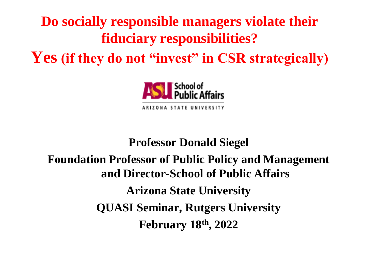# **Do socially responsible managers violate their fiduciary responsibilities? Yes (if they do not "invest" in CSR strategically)**



### **Professor Donald Siegel Foundation Professor of Public Policy and Management and Director-School of Public Affairs Arizona State University QUASI Seminar, Rutgers University February 18th, 2022**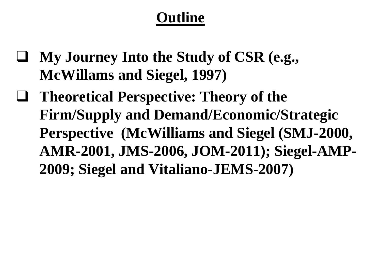## **Outline**

- ❑ **My Journey Into the Study of CSR (e.g., McWillams and Siegel, 1997)**
- ❑ **Theoretical Perspective: Theory of the Firm/Supply and Demand/Economic/Strategic Perspective (McWilliams and Siegel (SMJ-2000, AMR-2001, JMS-2006, JOM-2011); Siegel-AMP-2009; Siegel and Vitaliano-JEMS-2007)**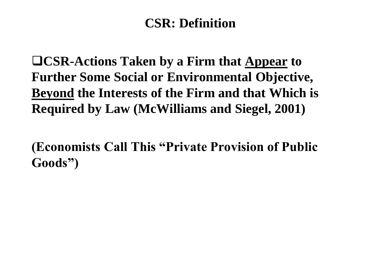#### **CSR: Definition**

❑**CSR-Actions Taken by a Firm that Appear to Further Some Social or Environmental Objective, Beyond the Interests of the Firm and that Which is Required by Law (McWilliams and Siegel, 2001)** 

**(Economists Call This "Private Provision of Public Goods")**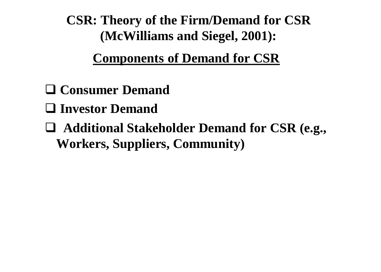**CSR: Theory of the Firm/Demand for CSR (McWilliams and Siegel, 2001):** 

**Components of Demand for CSR** 

- ❑ **Consumer Demand**
- ❑ **Investor Demand**
- ❑ **Additional Stakeholder Demand for CSR (e.g., Workers, Suppliers, Community)**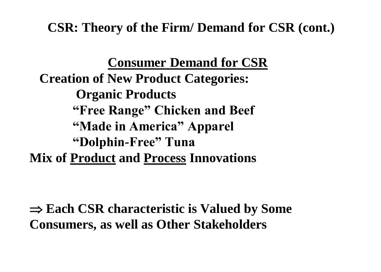**CSR: Theory of the Firm/ Demand for CSR (cont.)** 

**Consumer Demand for CSR Creation of New Product Categories: Organic Products "Free Range" Chicken and Beef "Made in America" Apparel "Dolphin-Free" Tuna Mix of Product and Process Innovations**

 **Each CSR characteristic is Valued by Some Consumers, as well as Other Stakeholders**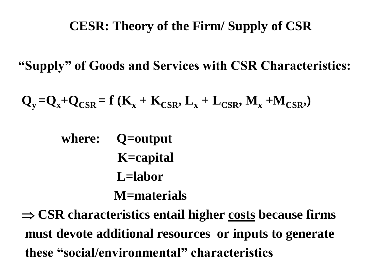### **CESR: Theory of the Firm/ Supply of CSR**

**"Supply" of Goods and Services with CSR Characteristics:** 

$$
Q_{y} = Q_{x} + Q_{CSR} = f(K_{x} + K_{CSR}, L_{x} + L_{CSR}, M_{x} + M_{CSR})
$$

**where: Q=output K=capital L=labor**

#### **M=materials**

 **CSR characteristics entail higher costs because firms must devote additional resources or inputs to generate these "social/environmental" characteristics**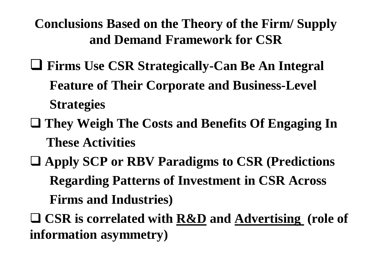**Conclusions Based on the Theory of the Firm/ Supply and Demand Framework for CSR** 

- ❑ **Firms Use CSR Strategically-Can Be An Integral Feature of Their Corporate and Business-Level Strategies**
- ❑ **They Weigh The Costs and Benefits Of Engaging In These Activities**
- ❑ **Apply SCP or RBV Paradigms to CSR (Predictions Regarding Patterns of Investment in CSR Across Firms and Industries)**
- ❑ **CSR is correlated with R&D and Advertising (role of information asymmetry)**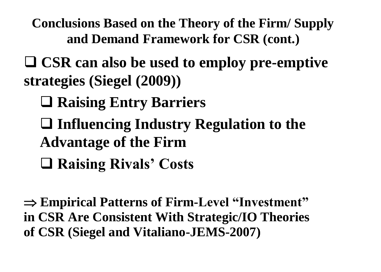**Conclusions Based on the Theory of the Firm/ Supply and Demand Framework for CSR (cont.)** 

❑ **CSR can also be used to employ pre-emptive strategies (Siegel (2009))** 

- ❑ **Raising Entry Barriers**
- ❑ **Influencing Industry Regulation to the Advantage of the Firm**
- ❑ **Raising Rivals' Costs**

 **Empirical Patterns of Firm-Level "Investment" in CSR Are Consistent With Strategic/IO Theories of CSR (Siegel and Vitaliano-JEMS-2007)**